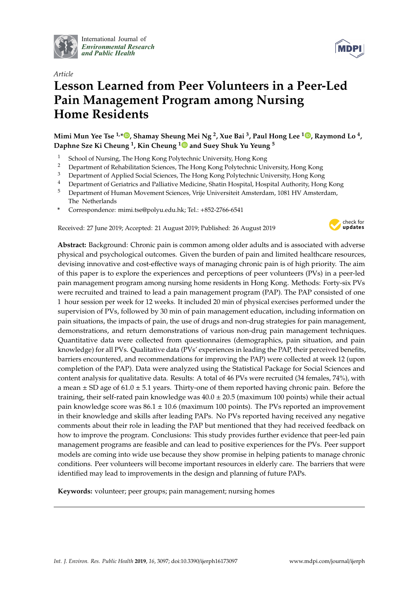

International Journal of *[Environmental Research](http://www.mdpi.com/journal/ijerph) and Public Health*



# **Lesson Learned from Peer Volunteers in a Peer-Led Pain Management Program among Nursing Home Residents**

**Mimi Mun Yee Tse 1,\* [,](https://orcid.org/0000-0001-9428-8719) Shamay Sheung Mei Ng <sup>2</sup> , Xue Bai <sup>3</sup> , Paul Hong Lee <sup>1</sup> [,](https://orcid.org/0000-0002-5729-6450) Raymond Lo <sup>4</sup> , Daphne Sze Ki Cheung <sup>1</sup> , Kin Cheung [1](https://orcid.org/0000-0002-8419-4847) and Suey Shuk Yu Yeung <sup>5</sup>**

- <sup>1</sup> School of Nursing, The Hong Kong Polytechnic University, Hong Kong
- <sup>2</sup> Department of Rehabilitation Sciences, The Hong Kong Polytechnic University, Hong Kong<br><sup>3</sup> Department of Applied Social Sciences, The Hong Kong Polytechnic University, Hong Kong
- <sup>3</sup> Department of Applied Social Sciences, The Hong Kong Polytechnic University, Hong Kong
- <sup>4</sup> Department of Geriatrics and Palliative Medicine, Shatin Hospital, Hospital Authority, Hong Kong
- <sup>5</sup> Department of Human Movement Sciences, Vrije Universiteit Amsterdam, 1081 HV Amsterdam, The Netherlands
- **\*** Correspondence: mimi.tse@polyu.edu.hk; Tel.: +852-2766-6541

Received: 27 June 2019; Accepted: 21 August 2019; Published: 26 August 2019



**Abstract:** Background: Chronic pain is common among older adults and is associated with adverse physical and psychological outcomes. Given the burden of pain and limited healthcare resources, devising innovative and cost-effective ways of managing chronic pain is of high priority. The aim of this paper is to explore the experiences and perceptions of peer volunteers (PVs) in a peer-led pain management program among nursing home residents in Hong Kong. Methods: Forty-six PVs were recruited and trained to lead a pain management program (PAP). The PAP consisted of one 1 hour session per week for 12 weeks. It included 20 min of physical exercises performed under the supervision of PVs, followed by 30 min of pain management education, including information on pain situations, the impacts of pain, the use of drugs and non-drug strategies for pain management, demonstrations, and return demonstrations of various non-drug pain management techniques. Quantitative data were collected from questionnaires (demographics, pain situation, and pain knowledge) for all PVs. Qualitative data (PVs' experiences in leading the PAP, their perceived benefits, barriers encountered, and recommendations for improving the PAP) were collected at week 12 (upon completion of the PAP). Data were analyzed using the Statistical Package for Social Sciences and content analysis for qualitative data. Results: A total of 46 PVs were recruited (34 females, 74%), with a mean  $\pm$  SD age of 61.0  $\pm$  5.1 years. Thirty-one of them reported having chronic pain. Before the training, their self-rated pain knowledge was 40.0 ± 20.5 (maximum 100 points) while their actual pain knowledge score was  $86.1 \pm 10.6$  (maximum 100 points). The PVs reported an improvement in their knowledge and skills after leading PAPs. No PVs reported having received any negative comments about their role in leading the PAP but mentioned that they had received feedback on how to improve the program. Conclusions: This study provides further evidence that peer-led pain management programs are feasible and can lead to positive experiences for the PVs. Peer support models are coming into wide use because they show promise in helping patients to manage chronic conditions. Peer volunteers will become important resources in elderly care. The barriers that were identified may lead to improvements in the design and planning of future PAPs.

**Keywords:** volunteer; peer groups; pain management; nursing homes

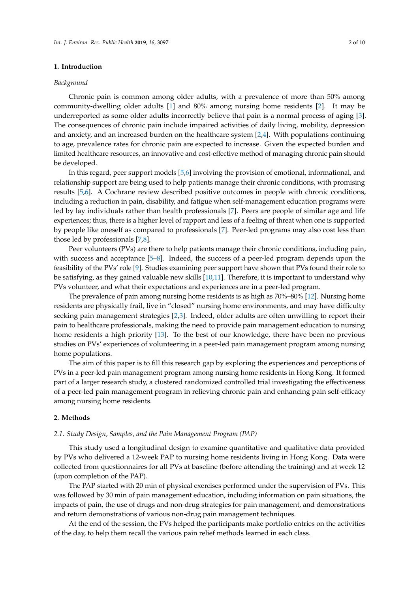# **1. Introduction**

# *Background*

Chronic pain is common among older adults, with a prevalence of more than 50% among community-dwelling older adults [\[1\]](#page-8-0) and 80% among nursing home residents [\[2\]](#page-8-1). It may be underreported as some older adults incorrectly believe that pain is a normal process of aging [\[3\]](#page-8-2). The consequences of chronic pain include impaired activities of daily living, mobility, depression and anxiety, and an increased burden on the healthcare system [\[2](#page-8-1)[,4\]](#page-8-3). With populations continuing to age, prevalence rates for chronic pain are expected to increase. Given the expected burden and limited healthcare resources, an innovative and cost-effective method of managing chronic pain should be developed.

In this regard, peer support models [\[5](#page-8-4)[,6\]](#page-8-5) involving the provision of emotional, informational, and relationship support are being used to help patients manage their chronic conditions, with promising results [\[5,](#page-8-4)[6\]](#page-8-5). A Cochrane review described positive outcomes in people with chronic conditions, including a reduction in pain, disability, and fatigue when self-management education programs were led by lay individuals rather than health professionals [\[7\]](#page-8-6). Peers are people of similar age and life experiences; thus, there is a higher level of rapport and less of a feeling of threat when one is supported by people like oneself as compared to professionals [\[7\]](#page-8-6). Peer-led programs may also cost less than those led by professionals [\[7,](#page-8-6)[8\]](#page-8-7).

Peer volunteers (PVs) are there to help patients manage their chronic conditions, including pain, with success and acceptance [\[5–](#page-8-4)[8\]](#page-8-7). Indeed, the success of a peer-led program depends upon the feasibility of the PVs' role [\[9\]](#page-8-8). Studies examining peer support have shown that PVs found their role to be satisfying, as they gained valuable new skills [\[10,](#page-8-9)[11\]](#page-8-10). Therefore, it is important to understand why PVs volunteer, and what their expectations and experiences are in a peer-led program.

The prevalence of pain among nursing home residents is as high as 70%–80% [\[12\]](#page-8-11). Nursing home residents are physically frail, live in "closed" nursing home environments, and may have difficulty seeking pain management strategies [\[2](#page-8-1)[,3\]](#page-8-2). Indeed, older adults are often unwilling to report their pain to healthcare professionals, making the need to provide pain management education to nursing home residents a high priority [\[13\]](#page-8-12). To the best of our knowledge, there have been no previous studies on PVs' experiences of volunteering in a peer-led pain management program among nursing home populations.

The aim of this paper is to fill this research gap by exploring the experiences and perceptions of PVs in a peer-led pain management program among nursing home residents in Hong Kong. It formed part of a larger research study, a clustered randomized controlled trial investigating the effectiveness of a peer-led pain management program in relieving chronic pain and enhancing pain self-efficacy among nursing home residents.

# **2. Methods**

# *2.1. Study Design, Samples, and the Pain Management Program (PAP)*

This study used a longitudinal design to examine quantitative and qualitative data provided by PVs who delivered a 12-week PAP to nursing home residents living in Hong Kong. Data were collected from questionnaires for all PVs at baseline (before attending the training) and at week 12 (upon completion of the PAP).

The PAP started with 20 min of physical exercises performed under the supervision of PVs. This was followed by 30 min of pain management education, including information on pain situations, the impacts of pain, the use of drugs and non-drug strategies for pain management, and demonstrations and return demonstrations of various non-drug pain management techniques.

At the end of the session, the PVs helped the participants make portfolio entries on the activities of the day, to help them recall the various pain relief methods learned in each class.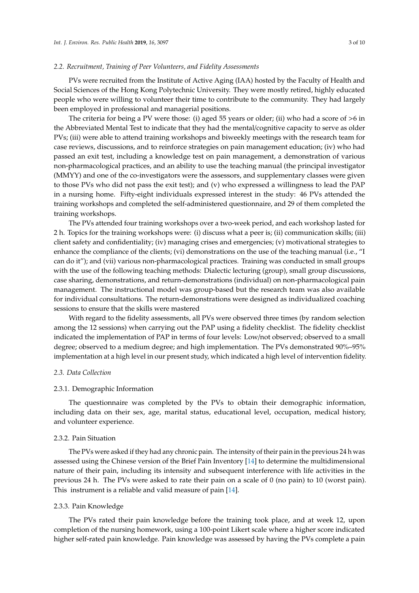# *2.2. Recruitment, Training of Peer Volunteers, and Fidelity Assessments*

PVs were recruited from the Institute of Active Aging (IAA) hosted by the Faculty of Health and Social Sciences of the Hong Kong Polytechnic University. They were mostly retired, highly educated people who were willing to volunteer their time to contribute to the community. They had largely been employed in professional and managerial positions.

The criteria for being a PV were those: (i) aged 55 years or older; (ii) who had a score of >6 in the Abbreviated Mental Test to indicate that they had the mental/cognitive capacity to serve as older PVs; (iii) were able to attend training workshops and biweekly meetings with the research team for case reviews, discussions, and to reinforce strategies on pain management education; (iv) who had passed an exit test, including a knowledge test on pain management, a demonstration of various non-pharmacological practices, and an ability to use the teaching manual (the principal investigator (MMYY) and one of the co-investigators were the assessors, and supplementary classes were given to those PVs who did not pass the exit test); and (v) who expressed a willingness to lead the PAP in a nursing home. Fifty-eight individuals expressed interest in the study: 46 PVs attended the training workshops and completed the self-administered questionnaire, and 29 of them completed the training workshops.

The PVs attended four training workshops over a two-week period, and each workshop lasted for 2 h. Topics for the training workshops were: (i) discuss what a peer is; (ii) communication skills; (iii) client safety and confidentiality; (iv) managing crises and emergencies; (v) motivational strategies to enhance the compliance of the clients; (vi) demonstrations on the use of the teaching manual (i.e., "I can do it"); and (vii) various non-pharmacological practices. Training was conducted in small groups with the use of the following teaching methods: Dialectic lecturing (group), small group discussions, case sharing, demonstrations, and return-demonstrations (individual) on non-pharmacological pain management. The instructional model was group-based but the research team was also available for individual consultations. The return-demonstrations were designed as individualized coaching sessions to ensure that the skills were mastered

With regard to the fidelity assessments, all PVs were observed three times (by random selection among the 12 sessions) when carrying out the PAP using a fidelity checklist. The fidelity checklist indicated the implementation of PAP in terms of four levels: Low/not observed; observed to a small degree; observed to a medium degree; and high implementation. The PVs demonstrated 90%–95% implementation at a high level in our present study, which indicated a high level of intervention fidelity.

# *2.3. Data Collection*

# 2.3.1. Demographic Information

The questionnaire was completed by the PVs to obtain their demographic information, including data on their sex, age, marital status, educational level, occupation, medical history, and volunteer experience.

# 2.3.2. Pain Situation

The PVs were asked if they had any chronic pain. The intensity of their pain in the previous 24 h was assessed using the Chinese version of the Brief Pain Inventory [\[14\]](#page-8-13) to determine the multidimensional nature of their pain, including its intensity and subsequent interference with life activities in the previous 24 h. The PVs were asked to rate their pain on a scale of 0 (no pain) to 10 (worst pain). This instrument is a reliable and valid measure of pain [\[14\]](#page-8-13).

# 2.3.3. Pain Knowledge

The PVs rated their pain knowledge before the training took place, and at week 12, upon completion of the nursing homework, using a 100-point Likert scale where a higher score indicated higher self-rated pain knowledge. Pain knowledge was assessed by having the PVs complete a pain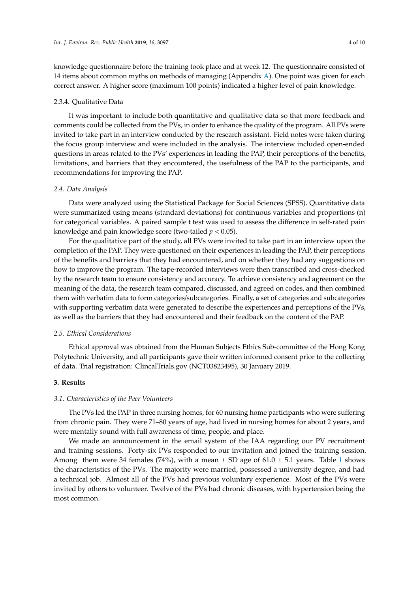knowledge questionnaire before the training took place and at week 12. The questionnaire consisted of 14 items about common myths on methods of managing (Appendix [A\)](#page-7-0). One point was given for each correct answer. A higher score (maximum 100 points) indicated a higher level of pain knowledge.

# 2.3.4. Qualitative Data

It was important to include both quantitative and qualitative data so that more feedback and comments could be collected from the PVs, in order to enhance the quality of the program. All PVs were invited to take part in an interview conducted by the research assistant. Field notes were taken during the focus group interview and were included in the analysis. The interview included open-ended questions in areas related to the PVs' experiences in leading the PAP, their perceptions of the benefits, limitations, and barriers that they encountered, the usefulness of the PAP to the participants, and recommendations for improving the PAP.

# *2.4. Data Analysis*

Data were analyzed using the Statistical Package for Social Sciences (SPSS). Quantitative data were summarized using means (standard deviations) for continuous variables and proportions (n) for categorical variables. A paired sample t test was used to assess the difference in self-rated pain knowledge and pain knowledge score (two-tailed *p* < 0.05).

For the qualitative part of the study, all PVs were invited to take part in an interview upon the completion of the PAP. They were questioned on their experiences in leading the PAP, their perceptions of the benefits and barriers that they had encountered, and on whether they had any suggestions on how to improve the program. The tape-recorded interviews were then transcribed and cross-checked by the research team to ensure consistency and accuracy. To achieve consistency and agreement on the meaning of the data, the research team compared, discussed, and agreed on codes, and then combined them with verbatim data to form categories/subcategories. Finally, a set of categories and subcategories with supporting verbatim data were generated to describe the experiences and perceptions of the PVs, as well as the barriers that they had encountered and their feedback on the content of the PAP.

## *2.5. Ethical Considerations*

Ethical approval was obtained from the Human Subjects Ethics Sub-committee of the Hong Kong Polytechnic University, and all participants gave their written informed consent prior to the collecting of data. Trial registration: ClincalTrials.gov (NCT03823495), 30 January 2019.

# **3. Results**

# *3.1. Characteristics of the Peer Volunteers*

The PVs led the PAP in three nursing homes, for 60 nursing home participants who were suffering from chronic pain. They were 71–80 years of age, had lived in nursing homes for about 2 years, and were mentally sound with full awareness of time, people, and place.

We made an announcement in the email system of the IAA regarding our PV recruitment and training sessions. Forty-six PVs responded to our invitation and joined the training session. Among them were 34 females (74%), with a mean  $\pm$  SD age of 6[1](#page-4-0).0  $\pm$  5.1 years. Table 1 shows the characteristics of the PVs. The majority were married, possessed a university degree, and had a technical job. Almost all of the PVs had previous voluntary experience. Most of the PVs were invited by others to volunteer. Twelve of the PVs had chronic diseases, with hypertension being the most common.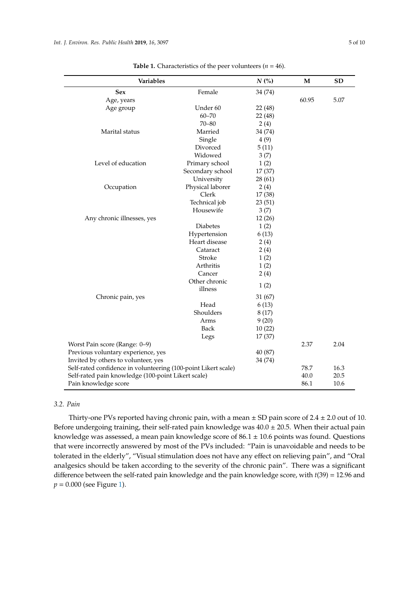<span id="page-4-0"></span>

| Variables                                                      |                  | $N$ (%) | M     | <b>SD</b> |
|----------------------------------------------------------------|------------------|---------|-------|-----------|
| <b>Sex</b>                                                     | Female           | 34 (74) |       |           |
| Age, years                                                     |                  |         | 60.95 | 5.07      |
| Age group                                                      | Under 60         | 22(48)  |       |           |
|                                                                | $60 - 70$        | 22 (48) |       |           |
|                                                                | $70 - 80$        | 2(4)    |       |           |
| Marital status                                                 | Married          | 34 (74) |       |           |
|                                                                | Single           | 4(9)    |       |           |
|                                                                | Divorced         | 5(11)   |       |           |
|                                                                | Widowed          | 3(7)    |       |           |
| Level of education                                             | Primary school   | 1(2)    |       |           |
|                                                                | Secondary school | 17(37)  |       |           |
|                                                                | University       | 28(61)  |       |           |
| Occupation                                                     | Physical laborer | 2(4)    |       |           |
|                                                                | Clerk            | 17 (38) |       |           |
|                                                                | Technical job    | 23(51)  |       |           |
|                                                                | Housewife        | 3(7)    |       |           |
| Any chronic illnesses, yes                                     |                  | 12(26)  |       |           |
|                                                                | <b>Diabetes</b>  | 1(2)    |       |           |
|                                                                | Hypertension     | 6(13)   |       |           |
|                                                                | Heart disease    | 2(4)    |       |           |
|                                                                | Cataract         | 2(4)    |       |           |
|                                                                | Stroke           | 1(2)    |       |           |
|                                                                | Arthritis        | 1(2)    |       |           |
|                                                                | Cancer           | 2(4)    |       |           |
|                                                                | Other chronic    | 1(2)    |       |           |
|                                                                | illness          |         |       |           |
| Chronic pain, yes                                              |                  | 31(67)  |       |           |
|                                                                | Head             | 6(13)   |       |           |
|                                                                | Shoulders        | 8 (17)  |       |           |
|                                                                | Arms             | 9(20)   |       |           |
|                                                                | Back             | 10(22)  |       |           |
|                                                                | Legs             | 17(37)  |       |           |
| Worst Pain score (Range: 0-9)                                  |                  |         | 2.37  | 2.04      |
| Previous voluntary experience, yes                             |                  | 40 (87) |       |           |
| Invited by others to volunteer, yes                            |                  | 34 (74) |       |           |
| Self-rated confidence in volunteering (100-point Likert scale) |                  |         | 78.7  | 16.3      |
| Self-rated pain knowledge (100-point Likert scale)             |                  |         | 40.0  | 20.5      |
| Pain knowledge score                                           |                  |         | 86.1  | 10.6      |

**Table 1.** Characteristics of the peer volunteers ( $n = 46$ ).

# *3.2. Pain*

Thirty-one PVs reported having chronic pain, with a mean  $\pm$  SD pain score of 2.4  $\pm$  2.0 out of 10. Before undergoing training, their self-rated pain knowledge was  $40.0 \pm 20.5$ . When their actual pain knowledge was assessed, a mean pain knowledge score of  $86.1 \pm 10.6$  points was found. Questions that were incorrectly answered by most of the PVs included: "Pain is unavoidable and needs to be tolerated in the elderly", "Visual stimulation does not have any effect on relieving pain", and "Oral analgesics should be taken according to the severity of the chronic pain". There was a significant difference between the self-rated pain knowledge and the pain knowledge score, with *t*(39) = 12.96 and *p* = 0.000 (see Figure [1\)](#page-5-0).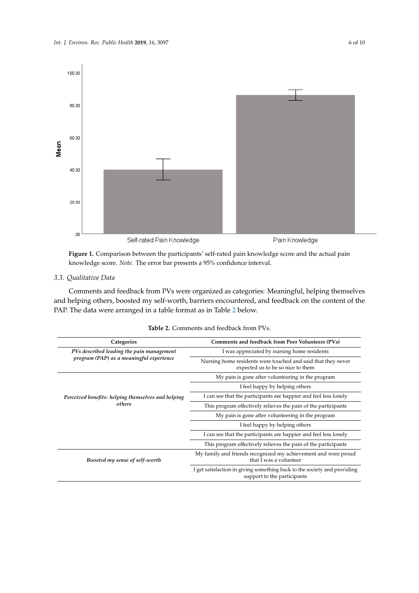<span id="page-5-0"></span>

**Figure 1.** Comparison between the participants' self-rated pain knowledge score and the actual pain knowledge score. *Note*. The error bar presents a 95% confidence interval.

#### **Figure 1.** Comparison between the participants' self-rated pain knowledge score and the actual pain knowledge score. *Note*. The error bar presents a 95% confidence interval. *3.3. Qualitative Data*

and helping others, boosted my self-worth, barriers encountered, and feedback on the content of the PAP. The data were arranged in a table format as in Table 2 below. Comments and feedback from PVs were organized as categories: Meaningful, helping themselves

| Categories                                                   | Comments and feedback from Peer Volunteers (PVs)                                                        |  |
|--------------------------------------------------------------|---------------------------------------------------------------------------------------------------------|--|
| PVs described leading the pain management                    | I was appreciated by nursing home residents                                                             |  |
| program (PAP) as a meaningful experience                     | Nursing home residents were touched and said that they never<br>expected us to be so nice to them       |  |
| Perceived benefits: helping themselves and helping<br>others | My pain is gone after volunteering in the program                                                       |  |
|                                                              | I feel happy by helping others                                                                          |  |
|                                                              | I can see that the participants are happier and feel less lonely                                        |  |
|                                                              | This program effectively relieves the pain of the participants                                          |  |
|                                                              | My pain is gone after volunteering in the program                                                       |  |
|                                                              | I feel happy by helping others                                                                          |  |
|                                                              | I can see that the participants are happier and feel less lonely                                        |  |
|                                                              | This program effectively relieves the pain of the participants                                          |  |
| Boosted my sense of self-worth                               | My family and friends recognized my achievement and were proud<br>that I was a volunteer                |  |
|                                                              | I get satisfaction in giving something back to the society and providing<br>support to the participants |  |

| <b>Table 2.</b> Comments and feedback from PVs. |  |
|-------------------------------------------------|--|
|-------------------------------------------------|--|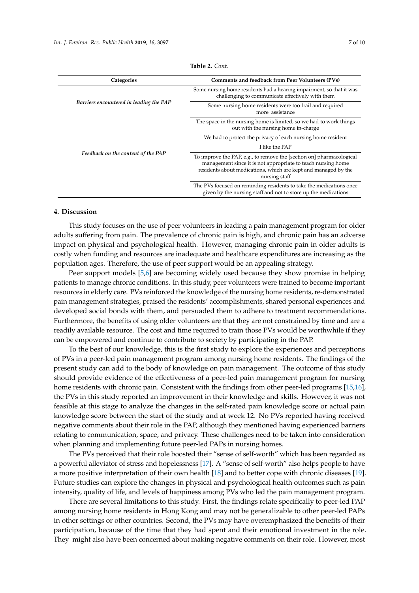<span id="page-6-0"></span>

| Categories                              | Comments and feedback from Peer Volunteers (PVs)                                                                                                                                                                        |  |
|-----------------------------------------|-------------------------------------------------------------------------------------------------------------------------------------------------------------------------------------------------------------------------|--|
| Barriers encountered in leading the PAP | Some nursing home residents had a hearing impairment, so that it was<br>challenging to communicate effectively with them                                                                                                |  |
|                                         | Some nursing home residents were too frail and required<br>more assistance                                                                                                                                              |  |
|                                         | The space in the nursing home is limited, so we had to work things<br>out with the nursing home in-charge                                                                                                               |  |
|                                         | We had to protect the privacy of each nursing home resident                                                                                                                                                             |  |
| Feedback on the content of the PAP      | I like the PAP                                                                                                                                                                                                          |  |
|                                         | To improve the PAP, e.g., to remove the [section on] pharmacological<br>management since it is not appropriate to teach nursing home<br>residents about medications, which are kept and managed by the<br>nursing staff |  |
|                                         | The PVs focused on reminding residents to take the medications once<br>given by the nursing staff and not to store up the medications                                                                                   |  |

**Table 2.** *Cont*.

# **4. Discussion**

This study focuses on the use of peer volunteers in leading a pain management program for older adults suffering from pain. The prevalence of chronic pain is high, and chronic pain has an adverse impact on physical and psychological health. However, managing chronic pain in older adults is costly when funding and resources are inadequate and healthcare expenditures are increasing as the population ages. Therefore, the use of peer support would be an appealing strategy.

Peer support models [\[5,](#page-8-4)[6\]](#page-8-5) are becoming widely used because they show promise in helping patients to manage chronic conditions. In this study, peer volunteers were trained to become important resources in elderly care. PVs reinforced the knowledge of the nursing home residents, re-demonstrated pain management strategies, praised the residents' accomplishments, shared personal experiences and developed social bonds with them, and persuaded them to adhere to treatment recommendations. Furthermore, the benefits of using older volunteers are that they are not constrained by time and are a readily available resource. The cost and time required to train those PVs would be worthwhile if they can be empowered and continue to contribute to society by participating in the PAP.

To the best of our knowledge, this is the first study to explore the experiences and perceptions of PVs in a peer-led pain management program among nursing home residents. The findings of the present study can add to the body of knowledge on pain management. The outcome of this study should provide evidence of the effectiveness of a peer-led pain management program for nursing home residents with chronic pain. Consistent with the findings from other peer-led programs [\[15,](#page-8-14)[16\]](#page-8-15), the PVs in this study reported an improvement in their knowledge and skills. However, it was not feasible at this stage to analyze the changes in the self-rated pain knowledge score or actual pain knowledge score between the start of the study and at week 12. No PVs reported having received negative comments about their role in the PAP, although they mentioned having experienced barriers relating to communication, space, and privacy. These challenges need to be taken into consideration when planning and implementing future peer-led PAPs in nursing homes.

The PVs perceived that their role boosted their "sense of self-worth" which has been regarded as a powerful alleviator of stress and hopelessness [\[17\]](#page-8-16). A "sense of self-worth" also helps people to have a more positive interpretation of their own health [\[18\]](#page-9-0) and to better cope with chronic diseases [\[19\]](#page-9-1). Future studies can explore the changes in physical and psychological health outcomes such as pain intensity, quality of life, and levels of happiness among PVs who led the pain management program.

There are several limitations to this study. First, the findings relate specifically to peer-led PAP among nursing home residents in Hong Kong and may not be generalizable to other peer-led PAPs in other settings or other countries. Second, the PVs may have overemphasized the benefits of their participation, because of the time that they had spent and their emotional investment in the role. They might also have been concerned about making negative comments on their role. However, most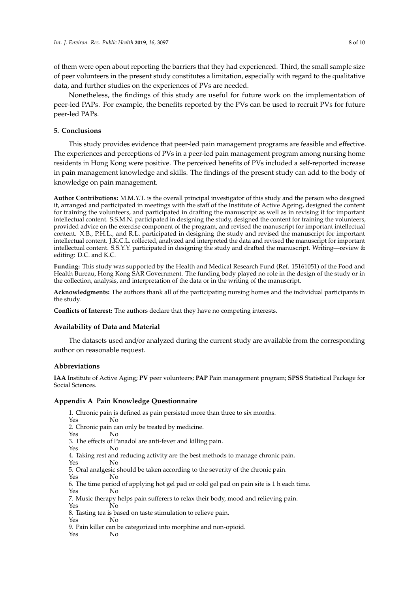of them were open about reporting the barriers that they had experienced. Third, the small sample size of peer volunteers in the present study constitutes a limitation, especially with regard to the qualitative data, and further studies on the experiences of PVs are needed.

Nonetheless, the findings of this study are useful for future work on the implementation of peer-led PAPs. For example, the benefits reported by the PVs can be used to recruit PVs for future peer-led PAPs.

# **5. Conclusions**

This study provides evidence that peer-led pain management programs are feasible and effective. The experiences and perceptions of PVs in a peer-led pain management program among nursing home residents in Hong Kong were positive. The perceived benefits of PVs included a self-reported increase in pain management knowledge and skills. The findings of the present study can add to the body of knowledge on pain management.

**Author Contributions:** M.M.Y.T. is the overall principal investigator of this study and the person who designed it, arranged and participated in meetings with the staff of the Institute of Active Ageing, designed the content for training the volunteers, and participated in drafting the manuscript as well as in revising it for important intellectual content. S.S.M.N. participated in designing the study, designed the content for training the volunteers, provided advice on the exercise component of the program, and revised the manuscript for important intellectual content. X.B., P.H.L., and R.L. participated in designing the study and revised the manuscript for important intellectual content. J.K.C.L. collected, analyzed and interpreted the data and revised the manuscript for important intellectual content. S.S.Y.Y. participated in designing the study and drafted the manuscript. Writing—review & editing: D.C. and K.C.

**Funding:** This study was supported by the Health and Medical Research Fund (Ref. 15161051) of the Food and Health Bureau, Hong Kong SAR Government. The funding body played no role in the design of the study or in the collection, analysis, and interpretation of the data or in the writing of the manuscript.

**Acknowledgments:** The authors thank all of the participating nursing homes and the individual participants in the study.

**Conflicts of Interest:** The authors declare that they have no competing interests.

# **Availability of Data and Material**

The datasets used and/or analyzed during the current study are available from the corresponding author on reasonable request.

## **Abbreviations**

**IAA** Institute of Active Aging; **PV** peer volunteers; **PAP** Pain management program; **SPSS** Statistical Package for Social Sciences.

## <span id="page-7-0"></span>**Appendix A Pain Knowledge Questionnaire**

N<sub>o</sub>

1. Chronic pain is defined as pain persisted more than three to six months. Yes No

2. Chronic pain can only be treated by medicine.

3. The effects of Panadol are anti-fever and killing pain.

Yes No

4. Taking rest and reducing activity are the best methods to manage chronic pain.

Yes No

5. Oral analgesic should be taken according to the severity of the chronic pain.

Yes No

6. The time period of applying hot gel pad or cold gel pad on pain site is 1 h each time.

Yes No

7. Music therapy helps pain sufferers to relax their body, mood and relieving pain.

Yes No

8. Tasting tea is based on taste stimulation to relieve pain.<br>Yes Mo

N<sub>o</sub>

9. Pain killer can be categorized into morphine and non-opioid.

Yes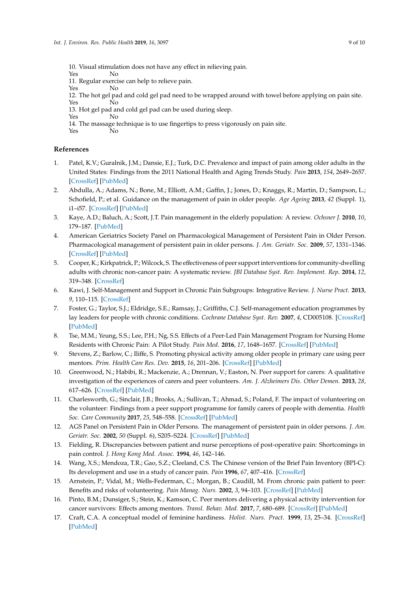10. Visual stimulation does not have any effect in relieving pain. Yes No 11. Regular exercise can help to relieve pain. Yes 12. The hot gel pad and cold gel pad need to be wrapped around with towel before applying on pain site.<br>Yes No Yes

13. Hot gel pad and cold gel pad can be used during sleep.

- Yes No
- 14. The massage technique is to use fingertips to press vigorously on pain site.

Yes No

# **References**

- <span id="page-8-0"></span>1. Patel, K.V.; Guralnik, J.M.; Dansie, E.J.; Turk, D.C. Prevalence and impact of pain among older adults in the United States: Findings from the 2011 National Health and Aging Trends Study. *Pain* **2013**, *154*, 2649–2657. [\[CrossRef\]](http://dx.doi.org/10.1016/j.pain.2013.07.029) [\[PubMed\]](http://www.ncbi.nlm.nih.gov/pubmed/24287107)
- <span id="page-8-1"></span>2. Abdulla, A.; Adams, N.; Bone, M.; Elliott, A.M.; Gaffin, J.; Jones, D.; Knaggs, R.; Martin, D.; Sampson, L.; Schofield, P.; et al. Guidance on the management of pain in older people. *Age Ageing* **2013**, *42* (Suppl. 1), i1–i57. [\[CrossRef\]](http://dx.doi.org/10.1093/ageing/afs199) [\[PubMed\]](http://www.ncbi.nlm.nih.gov/pubmed/23420266)
- <span id="page-8-2"></span>3. Kaye, A.D.; Baluch, A.; Scott, J.T. Pain management in the elderly population: A review. *Ochsner J.* **2010**, *10*, 179–187. [\[PubMed\]](http://www.ncbi.nlm.nih.gov/pubmed/21603375)
- <span id="page-8-3"></span>4. American Geriatrics Society Panel on Pharmacological Management of Persistent Pain in Older Person. Pharmacological management of persistent pain in older persons. *J. Am. Geriatr. Soc.* **2009**, *57*, 1331–1346. [\[CrossRef\]](http://dx.doi.org/10.1111/j.1532-5415.2009.02376.x) [\[PubMed\]](http://www.ncbi.nlm.nih.gov/pubmed/19573219)
- <span id="page-8-4"></span>5. Cooper, K.; Kirkpatrick, P.; Wilcock, S. The effectiveness of peer support interventions for community-dwelling adults with chronic non-cancer pain: A systematic review. *JBI Database Syst. Rev. Implement. Rep.* **2014**, *12*, 319–348. [\[CrossRef\]](http://dx.doi.org/10.11124/jbisrir-2014-1590)
- <span id="page-8-5"></span>6. Kawi, J. Self-Management and Support in Chronic Pain Subgroups: Integrative Review. *J. Nurse Pract.* **2013**, *9*, 110–115. [\[CrossRef\]](http://dx.doi.org/10.1016/j.nurpra.2012.12.020)
- <span id="page-8-6"></span>7. Foster, G.; Taylor, S.J.; Eldridge, S.E.; Ramsay, J.; Griffiths, C.J. Self-management education programmes by lay leaders for people with chronic conditions. *Cochrane Database Syst. Rev.* **2007**, *4*, CD005108. [\[CrossRef\]](http://dx.doi.org/10.1002/14651858.CD005108.pub2) [\[PubMed\]](http://www.ncbi.nlm.nih.gov/pubmed/17943839)
- <span id="page-8-7"></span>8. Tse, M.M.; Yeung, S.S.; Lee, P.H.; Ng, S.S. Effects of a Peer-Led Pain Management Program for Nursing Home Residents with Chronic Pain: A Pilot Study. *Pain Med.* **2016**, *17*, 1648–1657. [\[CrossRef\]](http://dx.doi.org/10.1093/pm/pnv121) [\[PubMed\]](http://www.ncbi.nlm.nih.gov/pubmed/26893112)
- <span id="page-8-8"></span>9. Stevens, Z.; Barlow, C.; Iliffe, S. Promoting physical activity among older people in primary care using peer mentors. *Prim. Health Care Res. Dev.* **2015**, *16*, 201–206. [\[CrossRef\]](http://dx.doi.org/10.1017/S1463423613000510) [\[PubMed\]](http://www.ncbi.nlm.nih.gov/pubmed/24451938)
- <span id="page-8-9"></span>10. Greenwood, N.; Habibi, R.; Mackenzie, A.; Drennan, V.; Easton, N. Peer support for carers: A qualitative investigation of the experiences of carers and peer volunteers. *Am. J. Alzheimers Dis. Other Demen.* **2013**, *28*, 617–626. [\[CrossRef\]](http://dx.doi.org/10.1177/1533317513494449) [\[PubMed\]](http://www.ncbi.nlm.nih.gov/pubmed/23813790)
- <span id="page-8-10"></span>11. Charlesworth, G.; Sinclair, J.B.; Brooks, A.; Sullivan, T.; Ahmad, S.; Poland, F. The impact of volunteering on the volunteer: Findings from a peer support programme for family carers of people with dementia. *Health Soc. Care Community* **2017**, *25*, 548–558. [\[CrossRef\]](http://dx.doi.org/10.1111/hsc.12341) [\[PubMed\]](http://www.ncbi.nlm.nih.gov/pubmed/26970311)
- <span id="page-8-11"></span>12. AGS Panel on Persistent Pain in Older Persons. The management of persistent pain in older persons. *J. Am. Geriatr. Soc.* **2002**, *50* (Suppl. 6), S205–S224. [\[CrossRef\]](http://dx.doi.org/10.1046/j.1532-5415.50.6s.1.x) [\[PubMed\]](http://www.ncbi.nlm.nih.gov/pubmed/12067390)
- <span id="page-8-12"></span>13. Fielding, R. Discrepancies between patient and nurse perceptions of post-operative pain: Shortcomings in pain control. *J. Hong Kong Med. Assoc.* **1994**, *46*, 142–146.
- <span id="page-8-13"></span>14. Wang, X.S.; Mendoza, T.R.; Gao, S.Z.; Cleeland, C.S. The Chinese version of the Brief Pain Inventory (BPI-C): Its development and use in a study of cancer pain. *Pain* **1996**, *67*, 407–416. [\[CrossRef\]](http://dx.doi.org/10.1016/0304-3959(96)03147-8)
- <span id="page-8-14"></span>15. Arnstein, P.; Vidal, M.; Wells-Federman, C.; Morgan, B.; Caudill, M. From chronic pain patient to peer: Benefits and risks of volunteering. *Pain Manag. Nurs.* **2002**, *3*, 94–103. [\[CrossRef\]](http://dx.doi.org/10.1053/jpmn.2002.126069) [\[PubMed\]](http://www.ncbi.nlm.nih.gov/pubmed/12198640)
- <span id="page-8-15"></span>16. Pinto, B.M.; Dunsiger, S.; Stein, K.; Kamson, C. Peer mentors delivering a physical activity intervention for cancer survivors: Effects among mentors. *Transl. Behav. Med.* **2017**, *7*, 680–689. [\[CrossRef\]](http://dx.doi.org/10.1007/s13142-016-0460-2) [\[PubMed\]](http://www.ncbi.nlm.nih.gov/pubmed/28097626)
- <span id="page-8-16"></span>17. Craft, C.A. A conceptual model of feminine hardiness. *Holist. Nurs. Pract.* **1999**, *13*, 25–34. [\[CrossRef\]](http://dx.doi.org/10.1097/00004650-199904000-00006) [\[PubMed\]](http://www.ncbi.nlm.nih.gov/pubmed/10418383)